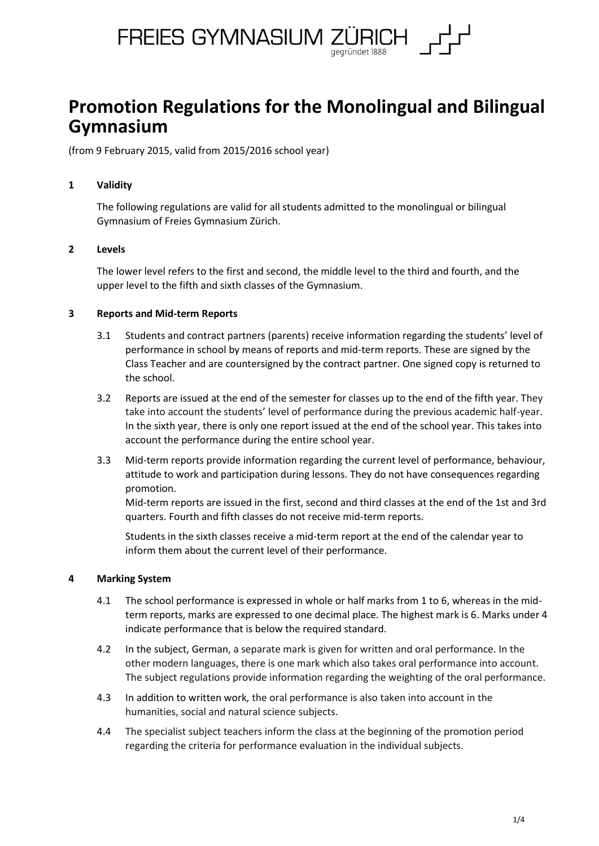

# **Promotion Regulations for the Monolingual and Bilingual Gymnasium**

(from 9 February 2015, valid from 2015/2016 school year)

## **1 Validity**

The following regulations are valid for all students admitted to the monolingual or bilingual Gymnasium of Freies Gymnasium Zürich.

## **2 Levels**

The lower level refers to the first and second, the middle level to the third and fourth, and the upper level to the fifth and sixth classes of the Gymnasium.

## **3 Reports and Mid-term Reports**

- 3.1 Students and contract partners (parents) receive information regarding the students' level of performance in school by means of reports and mid-term reports. These are signed by the Class Teacher and are countersigned by the contract partner. One signed copy is returned to the school.
- 3.2 Reports are issued at the end of the semester for classes up to the end of the fifth year. They take into account the students' level of performance during the previous academic half-year. In the sixth year, there is only one report issued at the end of the school year. This takes into account the performance during the entire school year.
- 3.3 Mid-term reports provide information regarding the current level of performance, behaviour, attitude to work and participation during lessons. They do not have consequences regarding promotion.

Mid-term reports are issued in the first, second and third classes at the end of the 1st and 3rd quarters. Fourth and fifth classes do not receive mid-term reports.

Students in the sixth classes receive a mid-term report at the end of the calendar year to inform them about the current level of their performance.

#### **4 Marking System**

- 4.1 The school performance is expressed in whole or half marks from 1 to 6, whereas in the midterm reports, marks are expressed to one decimal place. The highest mark is 6. Marks under 4 indicate performance that is below the required standard.
- 4.2 In the subject, German, a separate mark is given for written and oral performance. In the other modern languages, there is one mark which also takes oral performance into account. The subject regulations provide information regarding the weighting of the oral performance.
- 4.3 In addition to written work, the oral performance is also taken into account in the humanities, social and natural science subjects.
- 4.4 The specialist subject teachers inform the class at the beginning of the promotion period regarding the criteria for performance evaluation in the individual subjects.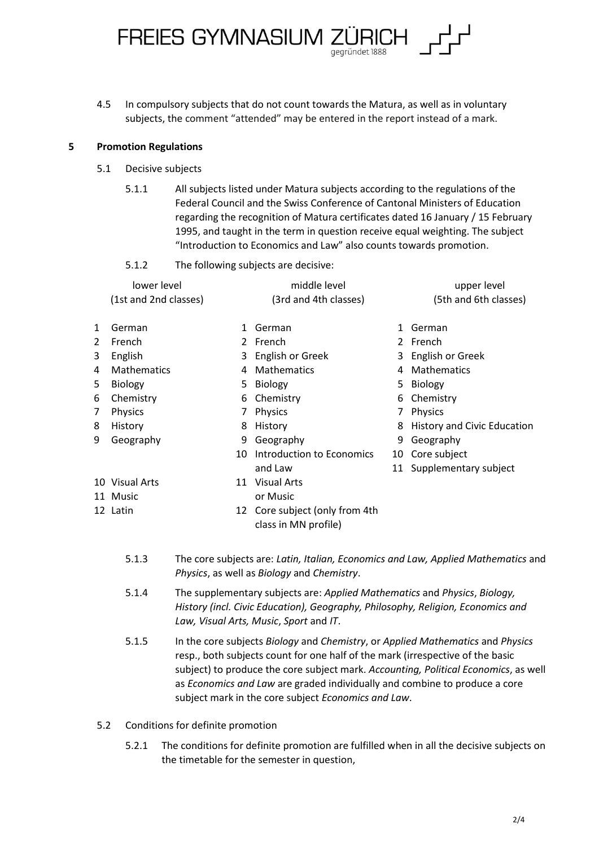4.5 In compulsory subjects that do not count towards the Matura, as well as in voluntary subjects, the comment "attended" may be entered in the report instead of a mark.

FREIES GYMNASIUM ZÜRICH

#### **5 Promotion Regulations**

- 5.1 Decisive subjects
	- 5.1.1 All subjects listed under Matura subjects according to the regulations of the Federal Council and the Swiss Conference of Cantonal Ministers of Education regarding the recognition of Matura certificates dated 16 January / 15 February 1995, and taught in the term in question receive equal weighting. The subject "Introduction to Economics and Law" also counts towards promotion.

aegründet 1888

5.1.2 The following subjects are decisive:

|   | lower level           |             | middle level                                           |    | upper level                 |
|---|-----------------------|-------------|--------------------------------------------------------|----|-----------------------------|
|   | (1st and 2nd classes) |             | (3rd and 4th classes)                                  |    | (5th and 6th classes)       |
| 1 | German                | 1           | German                                                 | 1  | German                      |
| 2 | French                | $2^{\circ}$ | French                                                 |    | 2 French                    |
| 3 | English               |             | 3 English or Greek                                     |    | 3 English or Greek          |
| 4 | <b>Mathematics</b>    | 4           | <b>Mathematics</b>                                     | 4  | Mathematics                 |
| 5 | <b>Biology</b>        | 5.          | Biology                                                |    | 5 Biology                   |
| 6 | Chemistry             | 6           | Chemistry                                              | 6  | Chemistry                   |
| 7 | Physics               |             | Physics                                                | 7  | Physics                     |
| 8 | History               | 8           | History                                                | 8  | History and Civic Education |
| 9 | Geography             | 9           | Geography                                              | 9  | Geography                   |
|   |                       | 10          | Introduction to Economics                              |    | 10 Core subject             |
|   |                       |             | and Law                                                | 11 | Supplementary subject       |
|   | 10 Visual Arts        | 11          | <b>Visual Arts</b>                                     |    |                             |
|   | 11 Music              |             | or Music                                               |    |                             |
|   | 12 Latin              |             | 12 Core subject (only from 4th<br>class in MN profile) |    |                             |

- 5.1.3 The core subjects are: *Latin, Italian, Economics and Law, Applied Mathematics* and *Physics*, as well as *Biology* and *Chemistry*.
- 5.1.4 The supplementary subjects are: *Applied Mathematics* and *Physics*, *Biology, History (incl. Civic Education), Geography, Philosophy, Religion, Economics and Law, Visual Arts, Music*, *Sport* and *IT*.
- 5.1.5 In the core subjects *Biology* and *Chemistry*, or *Applied Mathematics* and *Physics* resp., both subjects count for one half of the mark (irrespective of the basic subject) to produce the core subject mark. *Accounting, Political Economics*, as well as *Economics and Law* are graded individually and combine to produce a core subject mark in the core subject *Economics and Law*.
- 5.2 Conditions for definite promotion
	- 5.2.1 The conditions for definite promotion are fulfilled when in all the decisive subjects on the timetable for the semester in question,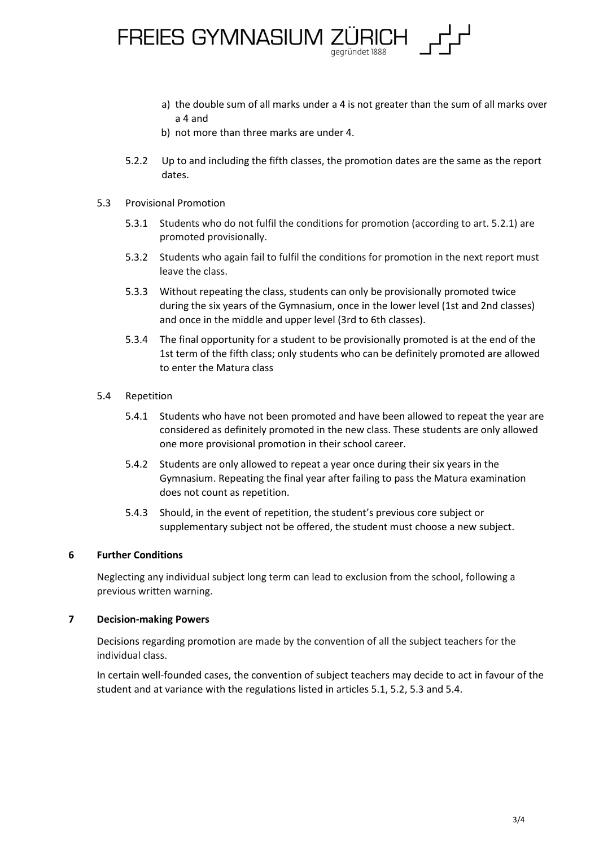

- a) the double sum of all marks under a 4 is not greater than the sum of all marks over a 4 and
- b) not more than three marks are under 4.
- 5.2.2 Up to and including the fifth classes, the promotion dates are the same as the report dates.
- 5.3 Provisional Promotion
	- 5.3.1 Students who do not fulfil the conditions for promotion (according to art. 5.2.1) are promoted provisionally.
	- 5.3.2 Students who again fail to fulfil the conditions for promotion in the next report must leave the class.
	- 5.3.3 Without repeating the class, students can only be provisionally promoted twice during the six years of the Gymnasium, once in the lower level (1st and 2nd classes) and once in the middle and upper level (3rd to 6th classes).
	- 5.3.4 The final opportunity for a student to be provisionally promoted is at the end of the 1st term of the fifth class; only students who can be definitely promoted are allowed to enter the Matura class
- 5.4 Repetition
	- 5.4.1 Students who have not been promoted and have been allowed to repeat the year are considered as definitely promoted in the new class. These students are only allowed one more provisional promotion in their school career.
	- 5.4.2 Students are only allowed to repeat a year once during their six years in the Gymnasium. Repeating the final year after failing to pass the Matura examination does not count as repetition.
	- 5.4.3 Should, in the event of repetition, the student's previous core subject or supplementary subject not be offered, the student must choose a new subject.

### **6 Further Conditions**

Neglecting any individual subject long term can lead to exclusion from the school, following a previous written warning.

#### **7 Decision-making Powers**

Decisions regarding promotion are made by the convention of all the subject teachers for the individual class.

In certain well-founded cases, the convention of subject teachers may decide to act in favour of the student and at variance with the regulations listed in articles 5.1, 5.2, 5.3 and 5.4.